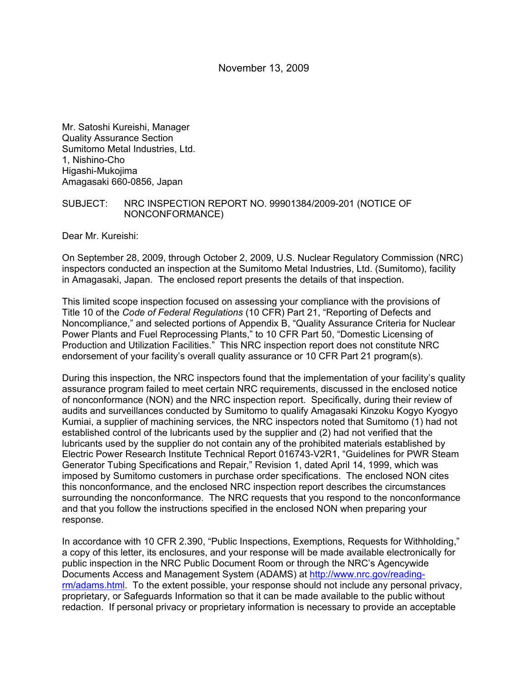Mr. Satoshi Kureishi, Manager Quality Assurance Section Sumitomo Metal Industries, Ltd. 1, Nishino-Cho Higashi-Mukojima Amagasaki 660-0856, Japan

#### SUBJECT: NRC INSPECTION REPORT NO. 99901384/2009-201 (NOTICE OF NONCONFORMANCE)

Dear Mr. Kureishi:

On September 28, 2009, through October 2, 2009, U.S. Nuclear Regulatory Commission (NRC) inspectors conducted an inspection at the Sumitomo Metal Industries, Ltd. (Sumitomo), facility in Amagasaki, Japan. The enclosed report presents the details of that inspection.

This limited scope inspection focused on assessing your compliance with the provisions of Title 10 of the *Code of Federal Regulations* (10 CFR) Part 21, "Reporting of Defects and Noncompliance," and selected portions of Appendix B, "Quality Assurance Criteria for Nuclear Power Plants and Fuel Reprocessing Plants," to 10 CFR Part 50, "Domestic Licensing of Production and Utilization Facilities." This NRC inspection report does not constitute NRC endorsement of your facility's overall quality assurance or 10 CFR Part 21 program(s).

During this inspection, the NRC inspectors found that the implementation of your facility's quality assurance program failed to meet certain NRC requirements, discussed in the enclosed notice of nonconformance (NON) and the NRC inspection report. Specifically, during their review of audits and surveillances conducted by Sumitomo to qualify Amagasaki Kinzoku Kogyo Kyogyo Kumiai, a supplier of machining services, the NRC inspectors noted that Sumitomo (1) had not established control of the lubricants used by the supplier and (2) had not verified that the lubricants used by the supplier do not contain any of the prohibited materials established by Electric Power Research Institute Technical Report 016743-V2R1, "Guidelines for PWR Steam Generator Tubing Specifications and Repair," Revision 1, dated April 14, 1999, which was imposed by Sumitomo customers in purchase order specifications. The enclosed NON cites this nonconformance, and the enclosed NRC inspection report describes the circumstances surrounding the nonconformance. The NRC requests that you respond to the nonconformance and that you follow the instructions specified in the enclosed NON when preparing your response.

In accordance with 10 CFR 2.390, "Public Inspections, Exemptions, Requests for Withholding," a copy of this letter, its enclosures, and your response will be made available electronically for public inspection in the NRC Public Document Room or through the NRC's Agencywide Documents Access and Management System (ADAMS) at http://www.nrc.gov/readingrm/adams.html. To the extent possible, your response should not include any personal privacy, proprietary, or Safeguards Information so that it can be made available to the public without redaction. If personal privacy or proprietary information is necessary to provide an acceptable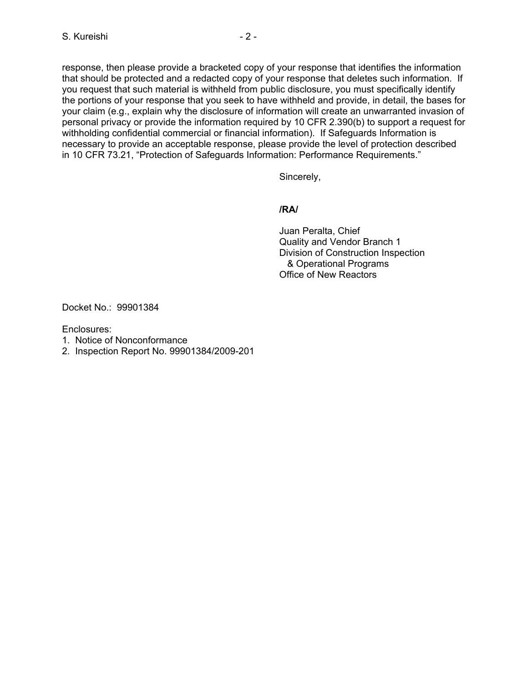response, then please provide a bracketed copy of your response that identifies the information that should be protected and a redacted copy of your response that deletes such information. If you request that such material is withheld from public disclosure, you must specifically identify the portions of your response that you seek to have withheld and provide, in detail, the bases for your claim (e.g., explain why the disclosure of information will create an unwarranted invasion of personal privacy or provide the information required by 10 CFR 2.390(b) to support a request for withholding confidential commercial or financial information). If Safeguards Information is necessary to provide an acceptable response, please provide the level of protection described in 10 CFR 73.21, "Protection of Safeguards Information: Performance Requirements."

Sincerely,

#### **/RA/**

Juan Peralta, Chief Quality and Vendor Branch 1 Division of Construction Inspection & Operational Programs Office of New Reactors

Docket No.: 99901384

Enclosures:

- 1. Notice of Nonconformance
- 2. Inspection Report No. 99901384/2009-201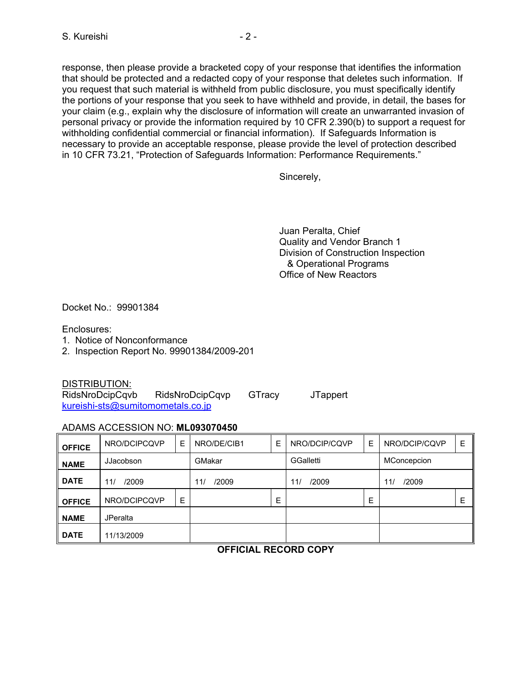response, then please provide a bracketed copy of your response that identifies the information that should be protected and a redacted copy of your response that deletes such information. If you request that such material is withheld from public disclosure, you must specifically identify the portions of your response that you seek to have withheld and provide, in detail, the bases for your claim (e.g., explain why the disclosure of information will create an unwarranted invasion of personal privacy or provide the information required by 10 CFR 2.390(b) to support a request for withholding confidential commercial or financial information). If Safeguards Information is necessary to provide an acceptable response, please provide the level of protection described in 10 CFR 73.21, "Protection of Safeguards Information: Performance Requirements."

Sincerely,

Juan Peralta, Chief Quality and Vendor Branch 1 Division of Construction Inspection & Operational Programs Office of New Reactors

Docket No.: 99901384

Enclosures:

- 1. Notice of Nonconformance
- 2. Inspection Report No. 99901384/2009-201

DISTRIBUTION:

RidsNroDcipCqvb RidsNroDcipCqvp GTracy JTappert kureishi-sts@sumitomometals.co.jp

#### ADAMS ACCESSION NO: **ML093070450**

| <b>OFFICE</b> | NRO/DCIPCQVP    | E | NRO/DE/CIB1  | Е | NRO/DCIP/CQVP    | Е | NRO/DCIP/CQVP | E |
|---------------|-----------------|---|--------------|---|------------------|---|---------------|---|
| <b>NAME</b>   | JJacobson       |   | GMakar       |   | <b>GGalletti</b> |   | MConcepcion   |   |
| <b>DATE</b>   | /2009<br>11/    |   | /2009<br>11/ |   | /2009<br>11/     |   | /2009<br>11/  |   |
| <b>OFFICE</b> | NRO/DCIPCQVP    | E |              | Е |                  | E |               | Е |
| <b>NAME</b>   | <b>JPeralta</b> |   |              |   |                  |   |               |   |
| <b>DATE</b>   | 11/13/2009      |   |              |   |                  |   |               |   |

#### **OFFICIAL RECORD COPY**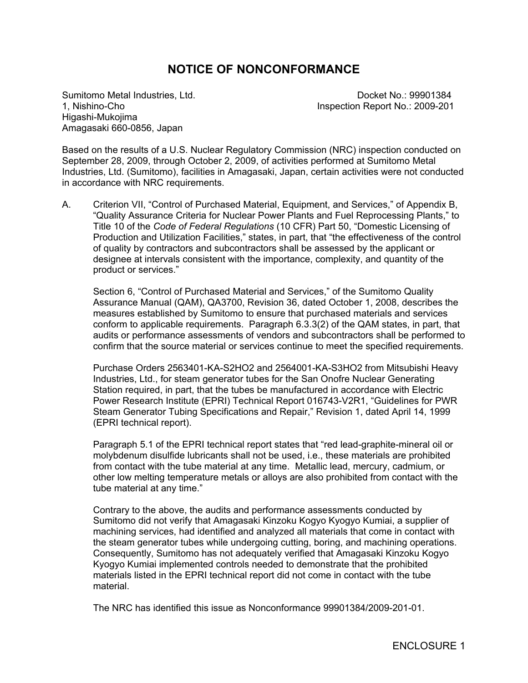# **NOTICE OF NONCONFORMANCE**

Higashi-Mukojima Amagasaki 660-0856, Japan

Sumitomo Metal Industries, Ltd. Contract No.: 99901384 1, Nishino-Cho Inspection Report No.: 2009-201

Based on the results of a U.S. Nuclear Regulatory Commission (NRC) inspection conducted on September 28, 2009, through October 2, 2009, of activities performed at Sumitomo Metal Industries, Ltd. (Sumitomo), facilities in Amagasaki, Japan, certain activities were not conducted in accordance with NRC requirements.

A. Criterion VII, "Control of Purchased Material, Equipment, and Services," of Appendix B, "Quality Assurance Criteria for Nuclear Power Plants and Fuel Reprocessing Plants," to Title 10 of the *Code of Federal Regulations* (10 CFR) Part 50, "Domestic Licensing of Production and Utilization Facilities," states, in part, that "the effectiveness of the control of quality by contractors and subcontractors shall be assessed by the applicant or designee at intervals consistent with the importance, complexity, and quantity of the product or services."

Section 6, "Control of Purchased Material and Services," of the Sumitomo Quality Assurance Manual (QAM), QA3700, Revision 36, dated October 1, 2008, describes the measures established by Sumitomo to ensure that purchased materials and services conform to applicable requirements. Paragraph 6.3.3(2) of the QAM states, in part, that audits or performance assessments of vendors and subcontractors shall be performed to confirm that the source material or services continue to meet the specified requirements.

Purchase Orders 2563401-KA-S2HO2 and 2564001-KA-S3HO2 from Mitsubishi Heavy Industries, Ltd., for steam generator tubes for the San Onofre Nuclear Generating Station required, in part, that the tubes be manufactured in accordance with Electric Power Research Institute (EPRI) Technical Report 016743-V2R1, "Guidelines for PWR Steam Generator Tubing Specifications and Repair," Revision 1, dated April 14, 1999 (EPRI technical report).

Paragraph 5.1 of the EPRI technical report states that "red lead-graphite-mineral oil or molybdenum disulfide lubricants shall not be used, i.e., these materials are prohibited from contact with the tube material at any time. Metallic lead, mercury, cadmium, or other low melting temperature metals or alloys are also prohibited from contact with the tube material at any time."

Contrary to the above, the audits and performance assessments conducted by Sumitomo did not verify that Amagasaki Kinzoku Kogyo Kyogyo Kumiai, a supplier of machining services, had identified and analyzed all materials that come in contact with the steam generator tubes while undergoing cutting, boring, and machining operations. Consequently, Sumitomo has not adequately verified that Amagasaki Kinzoku Kogyo Kyogyo Kumiai implemented controls needed to demonstrate that the prohibited materials listed in the EPRI technical report did not come in contact with the tube material.

The NRC has identified this issue as Nonconformance 99901384/2009-201-01.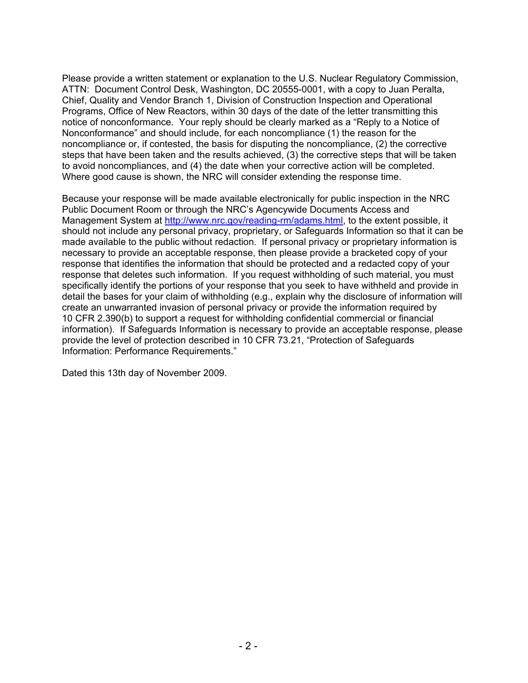Please provide a written statement or explanation to the U.S. Nuclear Regulatory Commission, ATTN: Document Control Desk, Washington, DC 20555-0001, with a copy to Juan Peralta, Chief, Quality and Vendor Branch 1, Division of Construction Inspection and Operational Programs, Office of New Reactors, within 30 days of the date of the letter transmitting this notice of nonconformance. Your reply should be clearly marked as a "Reply to a Notice of Nonconformance" and should include, for each noncompliance (1) the reason for the noncompliance or, if contested, the basis for disputing the noncompliance, (2) the corrective steps that have been taken and the results achieved, (3) the corrective steps that will be taken to avoid noncompliances, and (4) the date when your corrective action will be completed. Where good cause is shown, the NRC will consider extending the response time.

Because your response will be made available electronically for public inspection in the NRC Public Document Room or through the NRC's Agencywide Documents Access and Management System at http://www.nrc.gov/reading-rm/adams.html, to the extent possible, it should not include any personal privacy, proprietary, or Safeguards Information so that it can be made available to the public without redaction. If personal privacy or proprietary information is necessary to provide an acceptable response, then please provide a bracketed copy of your response that identifies the information that should be protected and a redacted copy of your response that deletes such information. If you request withholding of such material, you must specifically identify the portions of your response that you seek to have withheld and provide in detail the bases for your claim of withholding (e.g., explain why the disclosure of information will create an unwarranted invasion of personal privacy or provide the information required by 10 CFR 2.390(b) to support a request for withholding confidential commercial or financial information). If Safeguards Information is necessary to provide an acceptable response, please provide the level of protection described in 10 CFR 73.21, "Protection of Safeguards Information: Performance Requirements."

Dated this 13th day of November 2009.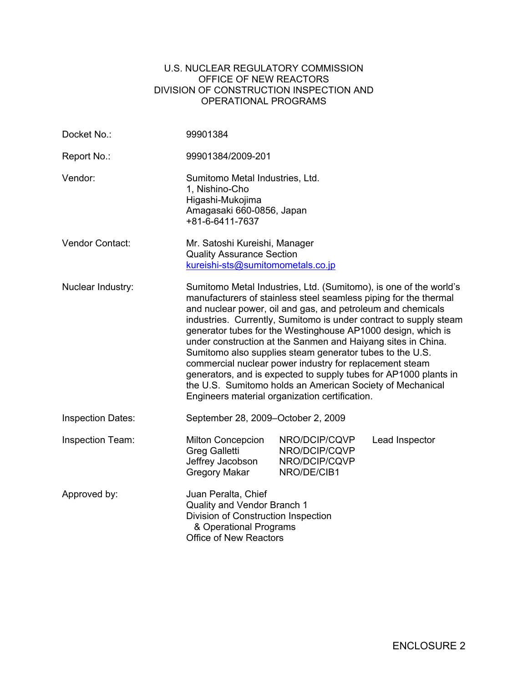#### U.S. NUCLEAR REGULATORY COMMISSION OFFICE OF NEW REACTORS DIVISION OF CONSTRUCTION INSPECTION AND OPERATIONAL PROGRAMS

| Docket No.:              | 99901384                                                                                                                                                                                                                                                                                                                                                                                                                                                                                                                                                                                                                                                                                                            |                                                                |                |  |  |
|--------------------------|---------------------------------------------------------------------------------------------------------------------------------------------------------------------------------------------------------------------------------------------------------------------------------------------------------------------------------------------------------------------------------------------------------------------------------------------------------------------------------------------------------------------------------------------------------------------------------------------------------------------------------------------------------------------------------------------------------------------|----------------------------------------------------------------|----------------|--|--|
| Report No.:              | 99901384/2009-201                                                                                                                                                                                                                                                                                                                                                                                                                                                                                                                                                                                                                                                                                                   |                                                                |                |  |  |
| Vendor:                  | Sumitomo Metal Industries, Ltd.<br>1, Nishino-Cho<br>Higashi-Mukojima<br>Amagasaki 660-0856, Japan<br>+81-6-6411-7637                                                                                                                                                                                                                                                                                                                                                                                                                                                                                                                                                                                               |                                                                |                |  |  |
| Vendor Contact:          | Mr. Satoshi Kureishi, Manager<br><b>Quality Assurance Section</b><br>kureishi-sts@sumitomometals.co.jp                                                                                                                                                                                                                                                                                                                                                                                                                                                                                                                                                                                                              |                                                                |                |  |  |
| Nuclear Industry:        | Sumitomo Metal Industries, Ltd. (Sumitomo), is one of the world's<br>manufacturers of stainless steel seamless piping for the thermal<br>and nuclear power, oil and gas, and petroleum and chemicals<br>industries. Currently, Sumitomo is under contract to supply steam<br>generator tubes for the Westinghouse AP1000 design, which is<br>under construction at the Sanmen and Haiyang sites in China.<br>Sumitomo also supplies steam generator tubes to the U.S.<br>commercial nuclear power industry for replacement steam<br>generators, and is expected to supply tubes for AP1000 plants in<br>the U.S. Sumitomo holds an American Society of Mechanical<br>Engineers material organization certification. |                                                                |                |  |  |
| <b>Inspection Dates:</b> | September 28, 2009–October 2, 2009                                                                                                                                                                                                                                                                                                                                                                                                                                                                                                                                                                                                                                                                                  |                                                                |                |  |  |
| Inspection Team:         | <b>Milton Concepcion</b><br><b>Greg Galletti</b><br>Jeffrey Jacobson<br><b>Gregory Makar</b>                                                                                                                                                                                                                                                                                                                                                                                                                                                                                                                                                                                                                        | NRO/DCIP/CQVP<br>NRO/DCIP/CQVP<br>NRO/DCIP/CQVP<br>NRO/DE/CIB1 | Lead Inspector |  |  |
| Approved by:             | Juan Peralta, Chief<br>Quality and Vendor Branch 1<br>Division of Construction Inspection<br>& Operational Programs<br>Office of New Reactors                                                                                                                                                                                                                                                                                                                                                                                                                                                                                                                                                                       |                                                                |                |  |  |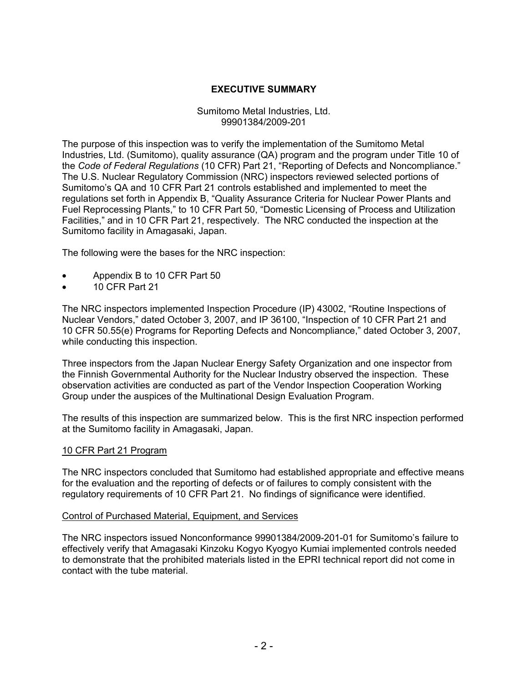### **EXECUTIVE SUMMARY**

#### Sumitomo Metal Industries, Ltd. 99901384/2009-201

The purpose of this inspection was to verify the implementation of the Sumitomo Metal Industries, Ltd. (Sumitomo), quality assurance (QA) program and the program under Title 10 of the *Code of Federal Regulations* (10 CFR) Part 21, "Reporting of Defects and Noncompliance." The U.S. Nuclear Regulatory Commission (NRC) inspectors reviewed selected portions of Sumitomo's QA and 10 CFR Part 21 controls established and implemented to meet the regulations set forth in Appendix B, "Quality Assurance Criteria for Nuclear Power Plants and Fuel Reprocessing Plants," to 10 CFR Part 50, "Domestic Licensing of Process and Utilization Facilities," and in 10 CFR Part 21, respectively. The NRC conducted the inspection at the Sumitomo facility in Amagasaki, Japan.

The following were the bases for the NRC inspection:

- Appendix B to 10 CFR Part 50
- 10 CFR Part 21

The NRC inspectors implemented Inspection Procedure (IP) 43002, "Routine Inspections of Nuclear Vendors," dated October 3, 2007, and IP 36100, "Inspection of 10 CFR Part 21 and 10 CFR 50.55(e) Programs for Reporting Defects and Noncompliance," dated October 3, 2007, while conducting this inspection.

Three inspectors from the Japan Nuclear Energy Safety Organization and one inspector from the Finnish Governmental Authority for the Nuclear Industry observed the inspection. These observation activities are conducted as part of the Vendor Inspection Cooperation Working Group under the auspices of the Multinational Design Evaluation Program.

The results of this inspection are summarized below. This is the first NRC inspection performed at the Sumitomo facility in Amagasaki, Japan.

#### 10 CFR Part 21 Program

The NRC inspectors concluded that Sumitomo had established appropriate and effective means for the evaluation and the reporting of defects or of failures to comply consistent with the regulatory requirements of 10 CFR Part 21. No findings of significance were identified.

#### Control of Purchased Material, Equipment, and Services

The NRC inspectors issued Nonconformance 99901384/2009-201-01 for Sumitomo's failure to effectively verify that Amagasaki Kinzoku Kogyo Kyogyo Kumiai implemented controls needed to demonstrate that the prohibited materials listed in the EPRI technical report did not come in contact with the tube material.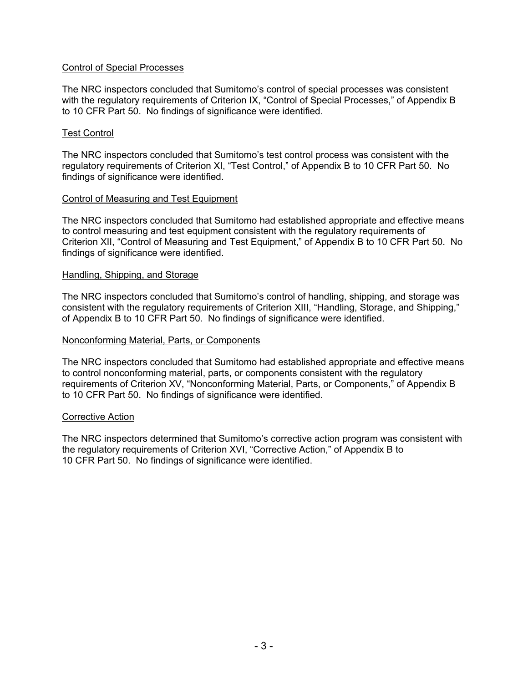#### Control of Special Processes

The NRC inspectors concluded that Sumitomo's control of special processes was consistent with the regulatory requirements of Criterion IX, "Control of Special Processes," of Appendix B to 10 CFR Part 50. No findings of significance were identified.

#### Test Control

The NRC inspectors concluded that Sumitomo's test control process was consistent with the regulatory requirements of Criterion XI, "Test Control," of Appendix B to 10 CFR Part 50. No findings of significance were identified.

#### Control of Measuring and Test Equipment

The NRC inspectors concluded that Sumitomo had established appropriate and effective means to control measuring and test equipment consistent with the regulatory requirements of Criterion XII, "Control of Measuring and Test Equipment," of Appendix B to 10 CFR Part 50. No findings of significance were identified.

#### Handling, Shipping, and Storage

The NRC inspectors concluded that Sumitomo's control of handling, shipping, and storage was consistent with the regulatory requirements of Criterion XIII, "Handling, Storage, and Shipping," of Appendix B to 10 CFR Part 50. No findings of significance were identified.

#### Nonconforming Material, Parts, or Components

The NRC inspectors concluded that Sumitomo had established appropriate and effective means to control nonconforming material, parts, or components consistent with the regulatory requirements of Criterion XV, "Nonconforming Material, Parts, or Components," of Appendix B to 10 CFR Part 50. No findings of significance were identified.

#### Corrective Action

The NRC inspectors determined that Sumitomo's corrective action program was consistent with the regulatory requirements of Criterion XVI, "Corrective Action," of Appendix B to 10 CFR Part 50. No findings of significance were identified.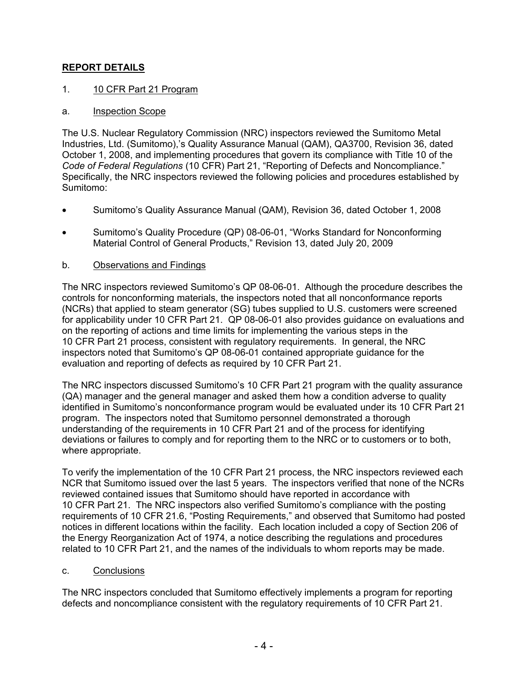### **REPORT DETAILS**

### 1. 10 CFR Part 21 Program

### a. Inspection Scope

The U.S. Nuclear Regulatory Commission (NRC) inspectors reviewed the Sumitomo Metal Industries, Ltd. (Sumitomo),'s Quality Assurance Manual (QAM), QA3700, Revision 36, dated October 1, 2008, and implementing procedures that govern its compliance with Title 10 of the *Code of Federal Regulations* (10 CFR) Part 21, "Reporting of Defects and Noncompliance." Specifically, the NRC inspectors reviewed the following policies and procedures established by Sumitomo:

- Sumitomo's Quality Assurance Manual (QAM), Revision 36, dated October 1, 2008
- Sumitomo's Quality Procedure (QP) 08-06-01, "Works Standard for Nonconforming Material Control of General Products," Revision 13, dated July 20, 2009

### b. Observations and Findings

The NRC inspectors reviewed Sumitomo's QP 08-06-01. Although the procedure describes the controls for nonconforming materials, the inspectors noted that all nonconformance reports (NCRs) that applied to steam generator (SG) tubes supplied to U.S. customers were screened for applicability under 10 CFR Part 21. QP 08-06-01 also provides guidance on evaluations and on the reporting of actions and time limits for implementing the various steps in the 10 CFR Part 21 process, consistent with regulatory requirements. In general, the NRC inspectors noted that Sumitomo's QP 08-06-01 contained appropriate guidance for the evaluation and reporting of defects as required by 10 CFR Part 21.

The NRC inspectors discussed Sumitomo's 10 CFR Part 21 program with the quality assurance (QA) manager and the general manager and asked them how a condition adverse to quality identified in Sumitomo's nonconformance program would be evaluated under its 10 CFR Part 21 program. The inspectors noted that Sumitomo personnel demonstrated a thorough understanding of the requirements in 10 CFR Part 21 and of the process for identifying deviations or failures to comply and for reporting them to the NRC or to customers or to both, where appropriate.

To verify the implementation of the 10 CFR Part 21 process, the NRC inspectors reviewed each NCR that Sumitomo issued over the last 5 years. The inspectors verified that none of the NCRs reviewed contained issues that Sumitomo should have reported in accordance with 10 CFR Part 21. The NRC inspectors also verified Sumitomo's compliance with the posting requirements of 10 CFR 21.6, "Posting Requirements," and observed that Sumitomo had posted notices in different locations within the facility. Each location included a copy of Section 206 of the Energy Reorganization Act of 1974, a notice describing the regulations and procedures related to 10 CFR Part 21, and the names of the individuals to whom reports may be made.

### c. Conclusions

The NRC inspectors concluded that Sumitomo effectively implements a program for reporting defects and noncompliance consistent with the regulatory requirements of 10 CFR Part 21.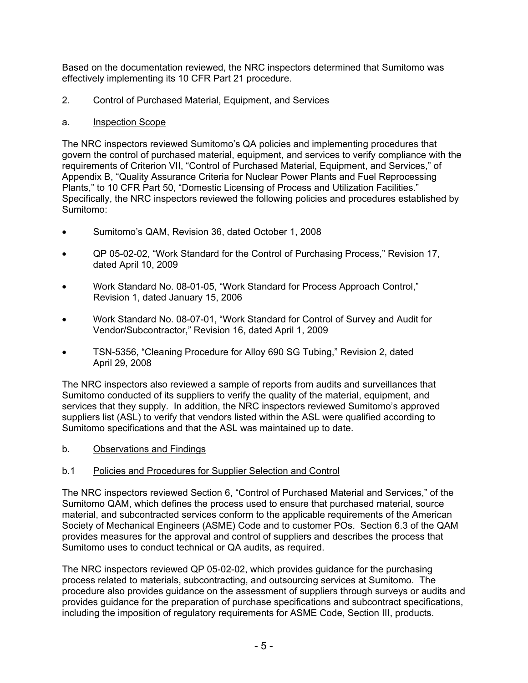Based on the documentation reviewed, the NRC inspectors determined that Sumitomo was effectively implementing its 10 CFR Part 21 procedure.

#### 2. Control of Purchased Material, Equipment, and Services

#### a. Inspection Scope

The NRC inspectors reviewed Sumitomo's QA policies and implementing procedures that govern the control of purchased material, equipment, and services to verify compliance with the requirements of Criterion VII, "Control of Purchased Material, Equipment, and Services," of Appendix B, "Quality Assurance Criteria for Nuclear Power Plants and Fuel Reprocessing Plants," to 10 CFR Part 50, "Domestic Licensing of Process and Utilization Facilities." Specifically, the NRC inspectors reviewed the following policies and procedures established by Sumitomo:

- Sumitomo's QAM, Revision 36, dated October 1, 2008
- QP 05-02-02, "Work Standard for the Control of Purchasing Process," Revision 17, dated April 10, 2009
- Work Standard No. 08-01-05, "Work Standard for Process Approach Control," Revision 1, dated January 15, 2006
- Work Standard No. 08-07-01, "Work Standard for Control of Survey and Audit for Vendor/Subcontractor," Revision 16, dated April 1, 2009
- TSN-5356, "Cleaning Procedure for Alloy 690 SG Tubing," Revision 2, dated April 29, 2008

The NRC inspectors also reviewed a sample of reports from audits and surveillances that Sumitomo conducted of its suppliers to verify the quality of the material, equipment, and services that they supply. In addition, the NRC inspectors reviewed Sumitomo's approved suppliers list (ASL) to verify that vendors listed within the ASL were qualified according to Sumitomo specifications and that the ASL was maintained up to date.

b. Observations and Findings

### b.1 Policies and Procedures for Supplier Selection and Control

The NRC inspectors reviewed Section 6, "Control of Purchased Material and Services," of the Sumitomo QAM, which defines the process used to ensure that purchased material, source material, and subcontracted services conform to the applicable requirements of the American Society of Mechanical Engineers (ASME) Code and to customer POs. Section 6.3 of the QAM provides measures for the approval and control of suppliers and describes the process that Sumitomo uses to conduct technical or QA audits, as required.

The NRC inspectors reviewed QP 05-02-02, which provides guidance for the purchasing process related to materials, subcontracting, and outsourcing services at Sumitomo. The procedure also provides guidance on the assessment of suppliers through surveys or audits and provides guidance for the preparation of purchase specifications and subcontract specifications, including the imposition of regulatory requirements for ASME Code, Section III, products.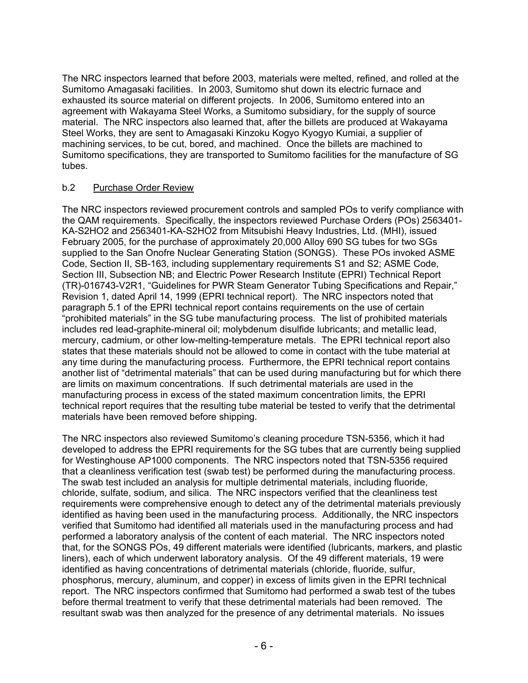The NRC inspectors learned that before 2003, materials were melted, refined, and rolled at the Sumitomo Amagasaki facilities. In 2003, Sumitomo shut down its electric furnace and exhausted its source material on different projects. In 2006, Sumitomo entered into an agreement with Wakayama Steel Works, a Sumitomo subsidiary, for the supply of source material. The NRC inspectors also learned that, after the billets are produced at Wakayama Steel Works, they are sent to Amagasaki Kinzoku Kogyo Kyogyo Kumiai, a supplier of machining services, to be cut, bored, and machined. Once the billets are machined to Sumitomo specifications, they are transported to Sumitomo facilities for the manufacture of SG tubes.

### b.2 Purchase Order Review

The NRC inspectors reviewed procurement controls and sampled POs to verify compliance with the QAM requirements. Specifically, the inspectors reviewed Purchase Orders (POs) 2563401- KA-S2HO2 and 2563401-KA-S2HO2 from Mitsubishi Heavy Industries, Ltd. (MHI), issued February 2005, for the purchase of approximately 20,000 Alloy 690 SG tubes for two SGs supplied to the San Onofre Nuclear Generating Station (SONGS). These POs invoked ASME Code, Section II, SB-163, including supplementary requirements S1 and S2; ASME Code, Section III, Subsection NB; and Electric Power Research Institute (EPRI) Technical Report (TR)-016743-V2R1, "Guidelines for PWR Steam Generator Tubing Specifications and Repair," Revision 1, dated April 14, 1999 (EPRI technical report). The NRC inspectors noted that paragraph 5.1 of the EPRI technical report contains requirements on the use of certain "prohibited materials" in the SG tube manufacturing process. The list of prohibited materials includes red lead-graphite-mineral oil; molybdenum disulfide lubricants; and metallic lead, mercury, cadmium, or other low-melting-temperature metals. The EPRI technical report also states that these materials should not be allowed to come in contact with the tube material at any time during the manufacturing process. Furthermore, the EPRI technical report contains another list of "detrimental materials" that can be used during manufacturing but for which there are limits on maximum concentrations. If such detrimental materials are used in the manufacturing process in excess of the stated maximum concentration limits, the EPRI technical report requires that the resulting tube material be tested to verify that the detrimental materials have been removed before shipping.

The NRC inspectors also reviewed Sumitomo's cleaning procedure TSN-5356, which it had developed to address the EPRI requirements for the SG tubes that are currently being supplied for Westinghouse AP1000 components. The NRC inspectors noted that TSN-5356 required that a cleanliness verification test (swab test) be performed during the manufacturing process. The swab test included an analysis for multiple detrimental materials, including fluoride, chloride, sulfate, sodium, and silica. The NRC inspectors verified that the cleanliness test requirements were comprehensive enough to detect any of the detrimental materials previously identified as having been used in the manufacturing process. Additionally, the NRC inspectors verified that Sumitomo had identified all materials used in the manufacturing process and had performed a laboratory analysis of the content of each material. The NRC inspectors noted that, for the SONGS POs, 49 different materials were identified (lubricants, markers, and plastic liners), each of which underwent laboratory analysis. Of the 49 different materials, 19 were identified as having concentrations of detrimental materials (chloride, fluoride, sulfur, phosphorus, mercury, aluminum, and copper) in excess of limits given in the EPRI technical report. The NRC inspectors confirmed that Sumitomo had performed a swab test of the tubes before thermal treatment to verify that these detrimental materials had been removed. The resultant swab was then analyzed for the presence of any detrimental materials. No issues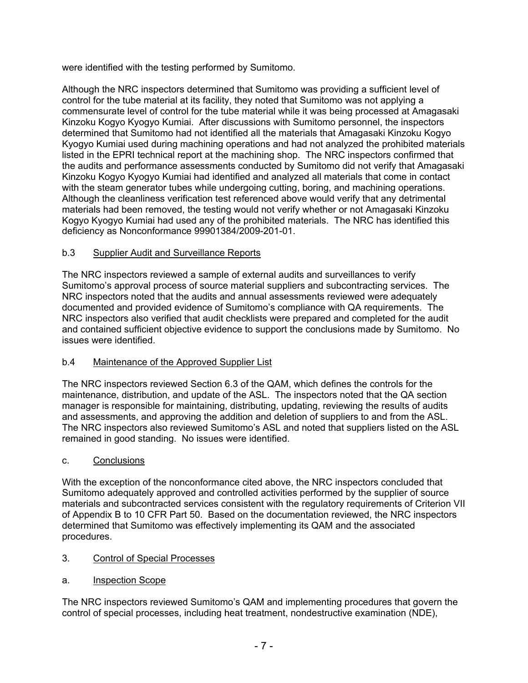were identified with the testing performed by Sumitomo.

Although the NRC inspectors determined that Sumitomo was providing a sufficient level of control for the tube material at its facility, they noted that Sumitomo was not applying a commensurate level of control for the tube material while it was being processed at Amagasaki Kinzoku Kogyo Kyogyo Kumiai. After discussions with Sumitomo personnel, the inspectors determined that Sumitomo had not identified all the materials that Amagasaki Kinzoku Kogyo Kyogyo Kumiai used during machining operations and had not analyzed the prohibited materials listed in the EPRI technical report at the machining shop. The NRC inspectors confirmed that the audits and performance assessments conducted by Sumitomo did not verify that Amagasaki Kinzoku Kogyo Kyogyo Kumiai had identified and analyzed all materials that come in contact with the steam generator tubes while undergoing cutting, boring, and machining operations. Although the cleanliness verification test referenced above would verify that any detrimental materials had been removed, the testing would not verify whether or not Amagasaki Kinzoku Kogyo Kyogyo Kumiai had used any of the prohibited materials. The NRC has identified this deficiency as Nonconformance 99901384/2009-201-01.

### b.3 Supplier Audit and Surveillance Reports

The NRC inspectors reviewed a sample of external audits and surveillances to verify Sumitomo's approval process of source material suppliers and subcontracting services. The NRC inspectors noted that the audits and annual assessments reviewed were adequately documented and provided evidence of Sumitomo's compliance with QA requirements. The NRC inspectors also verified that audit checklists were prepared and completed for the audit and contained sufficient objective evidence to support the conclusions made by Sumitomo. No issues were identified.

### b.4 Maintenance of the Approved Supplier List

The NRC inspectors reviewed Section 6.3 of the QAM, which defines the controls for the maintenance, distribution, and update of the ASL. The inspectors noted that the QA section manager is responsible for maintaining, distributing, updating, reviewing the results of audits and assessments, and approving the addition and deletion of suppliers to and from the ASL. The NRC inspectors also reviewed Sumitomo's ASL and noted that suppliers listed on the ASL remained in good standing. No issues were identified.

### c. Conclusions

With the exception of the nonconformance cited above, the NRC inspectors concluded that Sumitomo adequately approved and controlled activities performed by the supplier of source materials and subcontracted services consistent with the regulatory requirements of Criterion VII of Appendix B to 10 CFR Part 50. Based on the documentation reviewed, the NRC inspectors determined that Sumitomo was effectively implementing its QAM and the associated procedures.

### 3. Control of Special Processes

### a. Inspection Scope

The NRC inspectors reviewed Sumitomo's QAM and implementing procedures that govern the control of special processes, including heat treatment, nondestructive examination (NDE),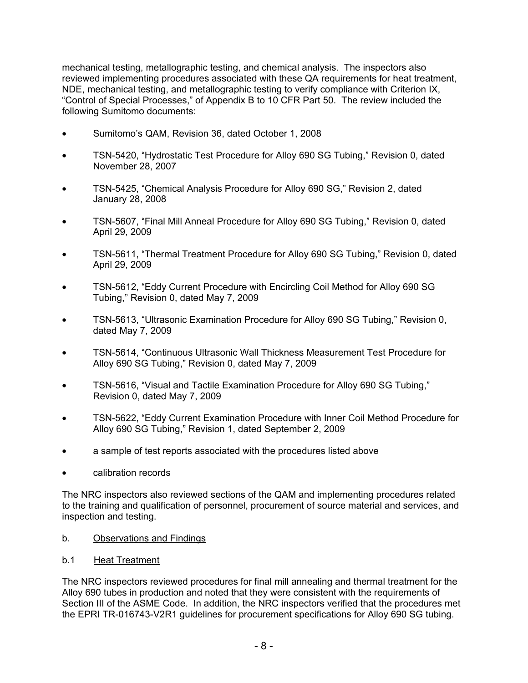mechanical testing, metallographic testing, and chemical analysis. The inspectors also reviewed implementing procedures associated with these QA requirements for heat treatment, NDE, mechanical testing, and metallographic testing to verify compliance with Criterion IX, "Control of Special Processes," of Appendix B to 10 CFR Part 50. The review included the following Sumitomo documents:

- Sumitomo's QAM, Revision 36, dated October 1, 2008
- TSN-5420, "Hydrostatic Test Procedure for Alloy 690 SG Tubing," Revision 0, dated November 28, 2007
- TSN-5425, "Chemical Analysis Procedure for Alloy 690 SG," Revision 2, dated January 28, 2008
- TSN-5607, "Final Mill Anneal Procedure for Alloy 690 SG Tubing," Revision 0, dated April 29, 2009
- TSN-5611, "Thermal Treatment Procedure for Alloy 690 SG Tubing," Revision 0, dated April 29, 2009
- TSN-5612, "Eddy Current Procedure with Encircling Coil Method for Alloy 690 SG Tubing," Revision 0, dated May 7, 2009
- TSN-5613, "Ultrasonic Examination Procedure for Alloy 690 SG Tubing," Revision 0, dated May 7, 2009
- TSN-5614, "Continuous Ultrasonic Wall Thickness Measurement Test Procedure for Alloy 690 SG Tubing," Revision 0, dated May 7, 2009
- TSN-5616, "Visual and Tactile Examination Procedure for Alloy 690 SG Tubing," Revision 0, dated May 7, 2009
- TSN-5622, "Eddy Current Examination Procedure with Inner Coil Method Procedure for Alloy 690 SG Tubing," Revision 1, dated September 2, 2009
- a sample of test reports associated with the procedures listed above
- calibration records

The NRC inspectors also reviewed sections of the QAM and implementing procedures related to the training and qualification of personnel, procurement of source material and services, and inspection and testing.

- b. Observations and Findings
- b.1 Heat Treatment

The NRC inspectors reviewed procedures for final mill annealing and thermal treatment for the Alloy 690 tubes in production and noted that they were consistent with the requirements of Section III of the ASME Code. In addition, the NRC inspectors verified that the procedures met the EPRI TR-016743-V2R1 guidelines for procurement specifications for Alloy 690 SG tubing.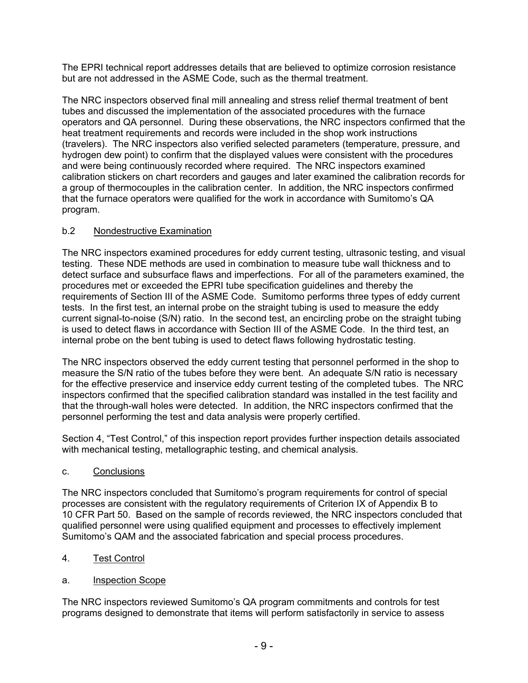The EPRI technical report addresses details that are believed to optimize corrosion resistance but are not addressed in the ASME Code, such as the thermal treatment.

The NRC inspectors observed final mill annealing and stress relief thermal treatment of bent tubes and discussed the implementation of the associated procedures with the furnace operators and QA personnel. During these observations, the NRC inspectors confirmed that the heat treatment requirements and records were included in the shop work instructions (travelers). The NRC inspectors also verified selected parameters (temperature, pressure, and hydrogen dew point) to confirm that the displayed values were consistent with the procedures and were being continuously recorded where required. The NRC inspectors examined calibration stickers on chart recorders and gauges and later examined the calibration records for a group of thermocouples in the calibration center. In addition, the NRC inspectors confirmed that the furnace operators were qualified for the work in accordance with Sumitomo's QA program.

## b.2 Nondestructive Examination

The NRC inspectors examined procedures for eddy current testing, ultrasonic testing, and visual testing. These NDE methods are used in combination to measure tube wall thickness and to detect surface and subsurface flaws and imperfections. For all of the parameters examined, the procedures met or exceeded the EPRI tube specification guidelines and thereby the requirements of Section III of the ASME Code. Sumitomo performs three types of eddy current tests. In the first test, an internal probe on the straight tubing is used to measure the eddy current signal-to-noise (S/N) ratio. In the second test, an encircling probe on the straight tubing is used to detect flaws in accordance with Section III of the ASME Code. In the third test, an internal probe on the bent tubing is used to detect flaws following hydrostatic testing.

The NRC inspectors observed the eddy current testing that personnel performed in the shop to measure the S/N ratio of the tubes before they were bent. An adequate S/N ratio is necessary for the effective preservice and inservice eddy current testing of the completed tubes. The NRC inspectors confirmed that the specified calibration standard was installed in the test facility and that the through-wall holes were detected. In addition, the NRC inspectors confirmed that the personnel performing the test and data analysis were properly certified.

Section 4, "Test Control," of this inspection report provides further inspection details associated with mechanical testing, metallographic testing, and chemical analysis.

c. Conclusions

The NRC inspectors concluded that Sumitomo's program requirements for control of special processes are consistent with the regulatory requirements of Criterion IX of Appendix B to 10 CFR Part 50. Based on the sample of records reviewed, the NRC inspectors concluded that qualified personnel were using qualified equipment and processes to effectively implement Sumitomo's QAM and the associated fabrication and special process procedures.

- 4. Test Control
- a. Inspection Scope

The NRC inspectors reviewed Sumitomo's QA program commitments and controls for test programs designed to demonstrate that items will perform satisfactorily in service to assess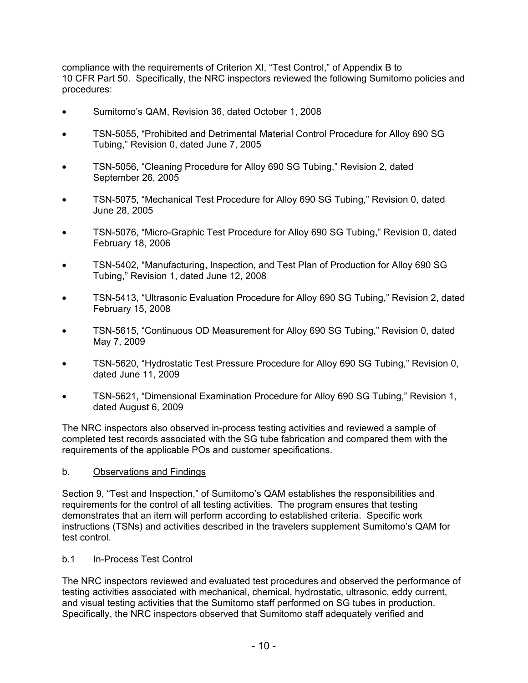compliance with the requirements of Criterion XI, "Test Control," of Appendix B to 10 CFR Part 50. Specifically, the NRC inspectors reviewed the following Sumitomo policies and procedures:

- Sumitomo's QAM, Revision 36, dated October 1, 2008
- TSN-5055, "Prohibited and Detrimental Material Control Procedure for Alloy 690 SG Tubing," Revision 0, dated June 7, 2005
- TSN-5056, "Cleaning Procedure for Alloy 690 SG Tubing," Revision 2, dated September 26, 2005
- TSN-5075, "Mechanical Test Procedure for Alloy 690 SG Tubing," Revision 0, dated June 28, 2005
- TSN-5076, "Micro-Graphic Test Procedure for Alloy 690 SG Tubing," Revision 0, dated February 18, 2006
- TSN-5402, "Manufacturing, Inspection, and Test Plan of Production for Alloy 690 SG Tubing," Revision 1, dated June 12, 2008
- TSN-5413, "Ultrasonic Evaluation Procedure for Alloy 690 SG Tubing," Revision 2, dated February 15, 2008
- TSN-5615, "Continuous OD Measurement for Alloy 690 SG Tubing," Revision 0, dated May 7, 2009
- TSN-5620, "Hydrostatic Test Pressure Procedure for Alloy 690 SG Tubing," Revision 0, dated June 11, 2009
- TSN-5621, "Dimensional Examination Procedure for Alloy 690 SG Tubing," Revision 1, dated August 6, 2009

The NRC inspectors also observed in-process testing activities and reviewed a sample of completed test records associated with the SG tube fabrication and compared them with the requirements of the applicable POs and customer specifications.

#### b. Observations and Findings

Section 9, "Test and Inspection," of Sumitomo's QAM establishes the responsibilities and requirements for the control of all testing activities. The program ensures that testing demonstrates that an item will perform according to established criteria. Specific work instructions (TSNs) and activities described in the travelers supplement Sumitomo's QAM for test control.

#### b.1 In-Process Test Control

The NRC inspectors reviewed and evaluated test procedures and observed the performance of testing activities associated with mechanical, chemical, hydrostatic, ultrasonic, eddy current, and visual testing activities that the Sumitomo staff performed on SG tubes in production. Specifically, the NRC inspectors observed that Sumitomo staff adequately verified and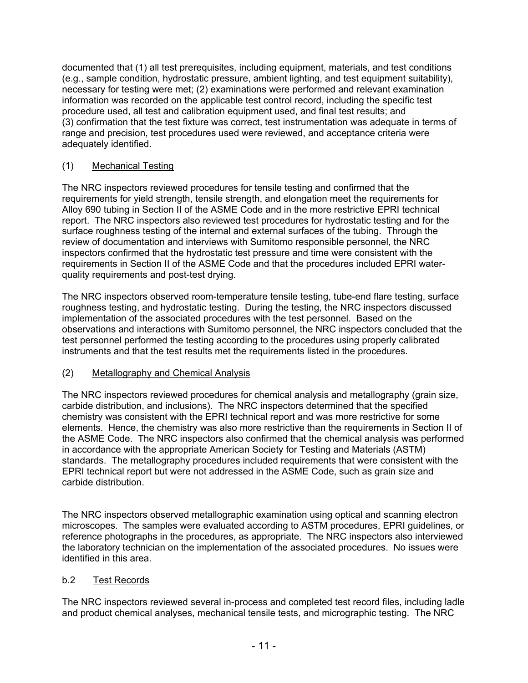documented that (1) all test prerequisites, including equipment, materials, and test conditions (e.g., sample condition, hydrostatic pressure, ambient lighting, and test equipment suitability), necessary for testing were met; (2) examinations were performed and relevant examination information was recorded on the applicable test control record, including the specific test procedure used, all test and calibration equipment used, and final test results; and (3) confirmation that the test fixture was correct, test instrumentation was adequate in terms of range and precision, test procedures used were reviewed, and acceptance criteria were adequately identified.

### (1) Mechanical Testing

The NRC inspectors reviewed procedures for tensile testing and confirmed that the requirements for yield strength, tensile strength, and elongation meet the requirements for Alloy 690 tubing in Section II of the ASME Code and in the more restrictive EPRI technical report. The NRC inspectors also reviewed test procedures for hydrostatic testing and for the surface roughness testing of the internal and external surfaces of the tubing. Through the review of documentation and interviews with Sumitomo responsible personnel, the NRC inspectors confirmed that the hydrostatic test pressure and time were consistent with the requirements in Section II of the ASME Code and that the procedures included EPRI waterquality requirements and post-test drying.

The NRC inspectors observed room-temperature tensile testing, tube-end flare testing, surface roughness testing, and hydrostatic testing. During the testing, the NRC inspectors discussed implementation of the associated procedures with the test personnel. Based on the observations and interactions with Sumitomo personnel, the NRC inspectors concluded that the test personnel performed the testing according to the procedures using properly calibrated instruments and that the test results met the requirements listed in the procedures.

## (2) Metallography and Chemical Analysis

The NRC inspectors reviewed procedures for chemical analysis and metallography (grain size, carbide distribution, and inclusions). The NRC inspectors determined that the specified chemistry was consistent with the EPRI technical report and was more restrictive for some elements. Hence, the chemistry was also more restrictive than the requirements in Section II of the ASME Code. The NRC inspectors also confirmed that the chemical analysis was performed in accordance with the appropriate American Society for Testing and Materials (ASTM) standards. The metallography procedures included requirements that were consistent with the EPRI technical report but were not addressed in the ASME Code, such as grain size and carbide distribution.

The NRC inspectors observed metallographic examination using optical and scanning electron microscopes. The samples were evaluated according to ASTM procedures, EPRI guidelines, or reference photographs in the procedures, as appropriate. The NRC inspectors also interviewed the laboratory technician on the implementation of the associated procedures. No issues were identified in this area.

### b.2 Test Records

The NRC inspectors reviewed several in-process and completed test record files, including ladle and product chemical analyses, mechanical tensile tests, and micrographic testing. The NRC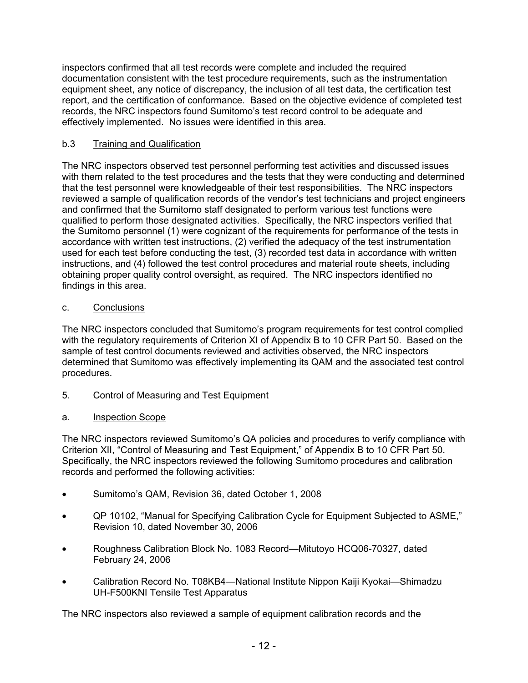inspectors confirmed that all test records were complete and included the required documentation consistent with the test procedure requirements, such as the instrumentation equipment sheet, any notice of discrepancy, the inclusion of all test data, the certification test report, and the certification of conformance. Based on the objective evidence of completed test records, the NRC inspectors found Sumitomo's test record control to be adequate and effectively implemented. No issues were identified in this area.

## b.3 Training and Qualification

The NRC inspectors observed test personnel performing test activities and discussed issues with them related to the test procedures and the tests that they were conducting and determined that the test personnel were knowledgeable of their test responsibilities. The NRC inspectors reviewed a sample of qualification records of the vendor's test technicians and project engineers and confirmed that the Sumitomo staff designated to perform various test functions were qualified to perform those designated activities. Specifically, the NRC inspectors verified that the Sumitomo personnel (1) were cognizant of the requirements for performance of the tests in accordance with written test instructions, (2) verified the adequacy of the test instrumentation used for each test before conducting the test, (3) recorded test data in accordance with written instructions, and (4) followed the test control procedures and material route sheets, including obtaining proper quality control oversight, as required. The NRC inspectors identified no findings in this area.

### c. Conclusions

The NRC inspectors concluded that Sumitomo's program requirements for test control complied with the regulatory requirements of Criterion XI of Appendix B to 10 CFR Part 50. Based on the sample of test control documents reviewed and activities observed, the NRC inspectors determined that Sumitomo was effectively implementing its QAM and the associated test control procedures.

5. Control of Measuring and Test Equipment

## a. Inspection Scope

The NRC inspectors reviewed Sumitomo's QA policies and procedures to verify compliance with Criterion XII, "Control of Measuring and Test Equipment," of Appendix B to 10 CFR Part 50. Specifically, the NRC inspectors reviewed the following Sumitomo procedures and calibration records and performed the following activities:

- Sumitomo's QAM, Revision 36, dated October 1, 2008
- QP 10102, "Manual for Specifying Calibration Cycle for Equipment Subjected to ASME," Revision 10, dated November 30, 2006
- Roughness Calibration Block No. 1083 Record—Mitutoyo HCQ06-70327, dated February 24, 2006
- Calibration Record No. T08KB4—National Institute Nippon Kaiji Kyokai—Shimadzu UH-F500KNI Tensile Test Apparatus

The NRC inspectors also reviewed a sample of equipment calibration records and the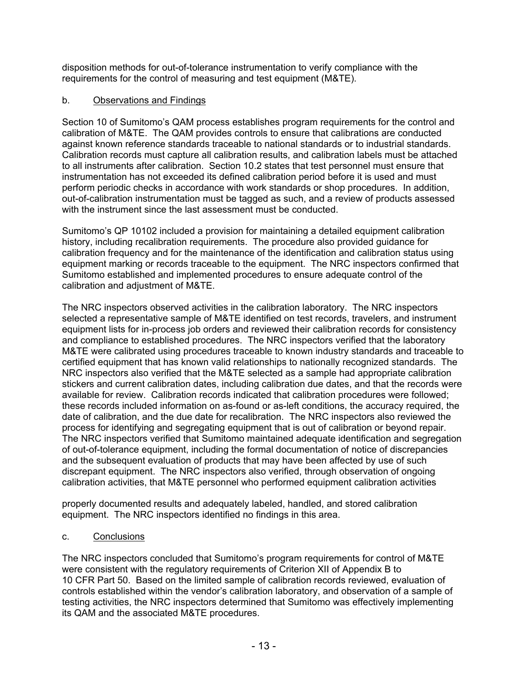disposition methods for out-of-tolerance instrumentation to verify compliance with the requirements for the control of measuring and test equipment (M&TE).

### b. Observations and Findings

Section 10 of Sumitomo's QAM process establishes program requirements for the control and calibration of M&TE. The QAM provides controls to ensure that calibrations are conducted against known reference standards traceable to national standards or to industrial standards. Calibration records must capture all calibration results, and calibration labels must be attached to all instruments after calibration. Section 10.2 states that test personnel must ensure that instrumentation has not exceeded its defined calibration period before it is used and must perform periodic checks in accordance with work standards or shop procedures. In addition, out-of-calibration instrumentation must be tagged as such, and a review of products assessed with the instrument since the last assessment must be conducted.

Sumitomo's QP 10102 included a provision for maintaining a detailed equipment calibration history, including recalibration requirements. The procedure also provided guidance for calibration frequency and for the maintenance of the identification and calibration status using equipment marking or records traceable to the equipment. The NRC inspectors confirmed that Sumitomo established and implemented procedures to ensure adequate control of the calibration and adjustment of M&TE.

The NRC inspectors observed activities in the calibration laboratory. The NRC inspectors selected a representative sample of M&TE identified on test records, travelers, and instrument equipment lists for in-process job orders and reviewed their calibration records for consistency and compliance to established procedures. The NRC inspectors verified that the laboratory M&TE were calibrated using procedures traceable to known industry standards and traceable to certified equipment that has known valid relationships to nationally recognized standards. The NRC inspectors also verified that the M&TE selected as a sample had appropriate calibration stickers and current calibration dates, including calibration due dates, and that the records were available for review. Calibration records indicated that calibration procedures were followed; these records included information on as-found or as-left conditions, the accuracy required, the date of calibration, and the due date for recalibration. The NRC inspectors also reviewed the process for identifying and segregating equipment that is out of calibration or beyond repair. The NRC inspectors verified that Sumitomo maintained adequate identification and segregation of out-of-tolerance equipment, including the formal documentation of notice of discrepancies and the subsequent evaluation of products that may have been affected by use of such discrepant equipment. The NRC inspectors also verified, through observation of ongoing calibration activities, that M&TE personnel who performed equipment calibration activities

properly documented results and adequately labeled, handled, and stored calibration equipment. The NRC inspectors identified no findings in this area.

### c. Conclusions

The NRC inspectors concluded that Sumitomo's program requirements for control of M&TE were consistent with the regulatory requirements of Criterion XII of Appendix B to 10 CFR Part 50. Based on the limited sample of calibration records reviewed, evaluation of controls established within the vendor's calibration laboratory, and observation of a sample of testing activities, the NRC inspectors determined that Sumitomo was effectively implementing its QAM and the associated M&TE procedures.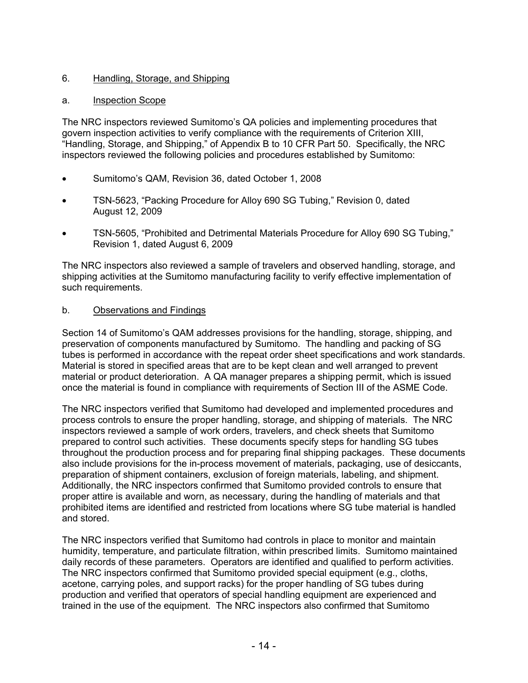### 6. Handling, Storage, and Shipping

#### a. Inspection Scope

The NRC inspectors reviewed Sumitomo's QA policies and implementing procedures that govern inspection activities to verify compliance with the requirements of Criterion XIII, "Handling, Storage, and Shipping," of Appendix B to 10 CFR Part 50. Specifically, the NRC inspectors reviewed the following policies and procedures established by Sumitomo:

- Sumitomo's QAM, Revision 36, dated October 1, 2008
- TSN-5623, "Packing Procedure for Alloy 690 SG Tubing," Revision 0, dated August 12, 2009
- TSN-5605, "Prohibited and Detrimental Materials Procedure for Alloy 690 SG Tubing," Revision 1, dated August 6, 2009

The NRC inspectors also reviewed a sample of travelers and observed handling, storage, and shipping activities at the Sumitomo manufacturing facility to verify effective implementation of such requirements.

#### b. Observations and Findings

Section 14 of Sumitomo's QAM addresses provisions for the handling, storage, shipping, and preservation of components manufactured by Sumitomo. The handling and packing of SG tubes is performed in accordance with the repeat order sheet specifications and work standards. Material is stored in specified areas that are to be kept clean and well arranged to prevent material or product deterioration. A QA manager prepares a shipping permit, which is issued once the material is found in compliance with requirements of Section III of the ASME Code.

The NRC inspectors verified that Sumitomo had developed and implemented procedures and process controls to ensure the proper handling, storage, and shipping of materials. The NRC inspectors reviewed a sample of work orders, travelers, and check sheets that Sumitomo prepared to control such activities. These documents specify steps for handling SG tubes throughout the production process and for preparing final shipping packages. These documents also include provisions for the in-process movement of materials, packaging, use of desiccants, preparation of shipment containers, exclusion of foreign materials, labeling, and shipment. Additionally, the NRC inspectors confirmed that Sumitomo provided controls to ensure that proper attire is available and worn, as necessary, during the handling of materials and that prohibited items are identified and restricted from locations where SG tube material is handled and stored.

The NRC inspectors verified that Sumitomo had controls in place to monitor and maintain humidity, temperature, and particulate filtration, within prescribed limits. Sumitomo maintained daily records of these parameters. Operators are identified and qualified to perform activities. The NRC inspectors confirmed that Sumitomo provided special equipment (e.g., cloths, acetone, carrying poles, and support racks) for the proper handling of SG tubes during production and verified that operators of special handling equipment are experienced and trained in the use of the equipment. The NRC inspectors also confirmed that Sumitomo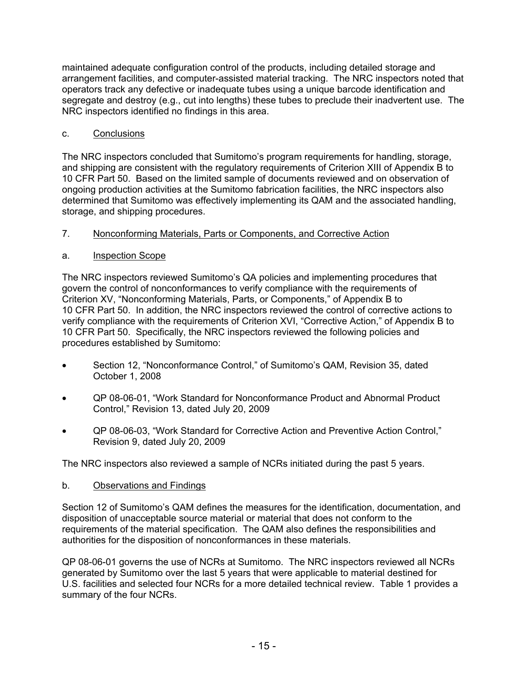maintained adequate configuration control of the products, including detailed storage and arrangement facilities, and computer-assisted material tracking. The NRC inspectors noted that operators track any defective or inadequate tubes using a unique barcode identification and segregate and destroy (e.g., cut into lengths) these tubes to preclude their inadvertent use. The NRC inspectors identified no findings in this area.

### c. Conclusions

The NRC inspectors concluded that Sumitomo's program requirements for handling, storage, and shipping are consistent with the regulatory requirements of Criterion XIII of Appendix B to 10 CFR Part 50. Based on the limited sample of documents reviewed and on observation of ongoing production activities at the Sumitomo fabrication facilities, the NRC inspectors also determined that Sumitomo was effectively implementing its QAM and the associated handling, storage, and shipping procedures.

## 7. Nonconforming Materials, Parts or Components, and Corrective Action

## a. Inspection Scope

The NRC inspectors reviewed Sumitomo's QA policies and implementing procedures that govern the control of nonconformances to verify compliance with the requirements of Criterion XV, "Nonconforming Materials, Parts, or Components," of Appendix B to 10 CFR Part 50. In addition, the NRC inspectors reviewed the control of corrective actions to verify compliance with the requirements of Criterion XVI, "Corrective Action," of Appendix B to 10 CFR Part 50. Specifically, the NRC inspectors reviewed the following policies and procedures established by Sumitomo:

- Section 12, "Nonconformance Control," of Sumitomo's QAM, Revision 35, dated October 1, 2008
- QP 08-06-01, "Work Standard for Nonconformance Product and Abnormal Product Control," Revision 13, dated July 20, 2009
- QP 08-06-03, "Work Standard for Corrective Action and Preventive Action Control," Revision 9, dated July 20, 2009

The NRC inspectors also reviewed a sample of NCRs initiated during the past 5 years.

### b. Observations and Findings

Section 12 of Sumitomo's QAM defines the measures for the identification, documentation, and disposition of unacceptable source material or material that does not conform to the requirements of the material specification. The QAM also defines the responsibilities and authorities for the disposition of nonconformances in these materials.

QP 08-06-01 governs the use of NCRs at Sumitomo. The NRC inspectors reviewed all NCRs generated by Sumitomo over the last 5 years that were applicable to material destined for U.S. facilities and selected four NCRs for a more detailed technical review. Table 1 provides a summary of the four NCRs.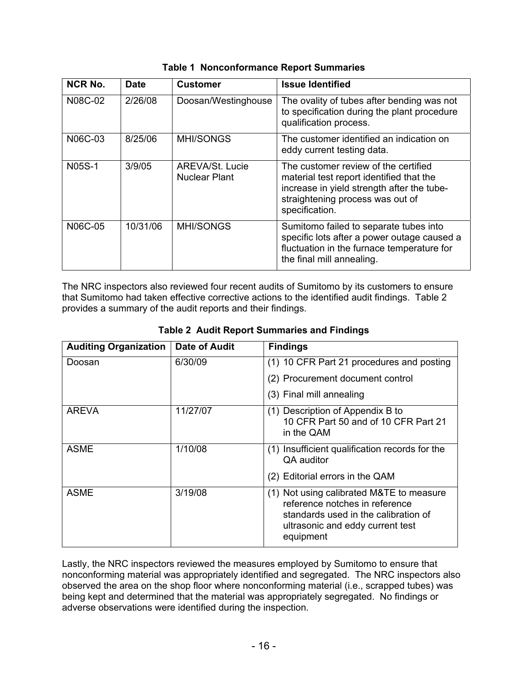| <b>NCR No.</b> | <b>Date</b> | <b>Customer</b>                                | <b>Issue Identified</b>                                                                                                                                                              |
|----------------|-------------|------------------------------------------------|--------------------------------------------------------------------------------------------------------------------------------------------------------------------------------------|
| N08C-02        | 2/26/08     | Doosan/Westinghouse                            | The ovality of tubes after bending was not<br>to specification during the plant procedure<br>qualification process.                                                                  |
| N06C-03        | 8/25/06     | <b>MHI/SONGS</b>                               | The customer identified an indication on<br>eddy current testing data.                                                                                                               |
| <b>N05S-1</b>  | 3/9/05      | <b>AREVA/St. Lucie</b><br><b>Nuclear Plant</b> | The customer review of the certified<br>material test report identified that the<br>increase in yield strength after the tube-<br>straightening process was out of<br>specification. |
| N06C-05        | 10/31/06    | <b>MHI/SONGS</b>                               | Sumitomo failed to separate tubes into<br>specific lots after a power outage caused a<br>fluctuation in the furnace temperature for<br>the final mill annealing.                     |

The NRC inspectors also reviewed four recent audits of Sumitomo by its customers to ensure that Sumitomo had taken effective corrective actions to the identified audit findings. Table 2 provides a summary of the audit reports and their findings.

| <b>Auditing Organization</b> | <b>Date of Audit</b> | <b>Findings</b>                                                                                                                                                     |  |  |
|------------------------------|----------------------|---------------------------------------------------------------------------------------------------------------------------------------------------------------------|--|--|
| Doosan                       | 6/30/09              | (1) 10 CFR Part 21 procedures and posting                                                                                                                           |  |  |
|                              |                      | (2) Procurement document control                                                                                                                                    |  |  |
|                              |                      | (3) Final mill annealing                                                                                                                                            |  |  |
| AREVA                        | 11/27/07             | (1) Description of Appendix B to<br>10 CFR Part 50 and of 10 CFR Part 21<br>in the QAM                                                                              |  |  |
| <b>ASME</b>                  | 1/10/08              | (1) Insufficient qualification records for the<br>QA auditor                                                                                                        |  |  |
|                              |                      | (2) Editorial errors in the QAM                                                                                                                                     |  |  |
| <b>ASME</b>                  | 3/19/08              | (1) Not using calibrated M&TE to measure<br>reference notches in reference<br>standards used in the calibration of<br>ultrasonic and eddy current test<br>equipment |  |  |

**Table 2 Audit Report Summaries and Findings** 

Lastly, the NRC inspectors reviewed the measures employed by Sumitomo to ensure that nonconforming material was appropriately identified and segregated. The NRC inspectors also observed the area on the shop floor where nonconforming material (i.e., scrapped tubes) was being kept and determined that the material was appropriately segregated. No findings or adverse observations were identified during the inspection.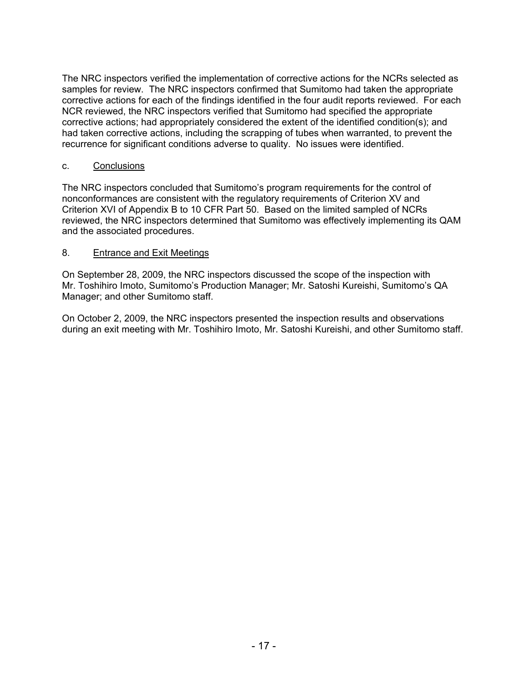The NRC inspectors verified the implementation of corrective actions for the NCRs selected as samples for review. The NRC inspectors confirmed that Sumitomo had taken the appropriate corrective actions for each of the findings identified in the four audit reports reviewed. For each NCR reviewed, the NRC inspectors verified that Sumitomo had specified the appropriate corrective actions; had appropriately considered the extent of the identified condition(s); and had taken corrective actions, including the scrapping of tubes when warranted, to prevent the recurrence for significant conditions adverse to quality. No issues were identified.

#### c. Conclusions

The NRC inspectors concluded that Sumitomo's program requirements for the control of nonconformances are consistent with the regulatory requirements of Criterion XV and Criterion XVI of Appendix B to 10 CFR Part 50. Based on the limited sampled of NCRs reviewed, the NRC inspectors determined that Sumitomo was effectively implementing its QAM and the associated procedures.

#### 8. Entrance and Exit Meetings

On September 28, 2009, the NRC inspectors discussed the scope of the inspection with Mr. Toshihiro Imoto, Sumitomo's Production Manager; Mr. Satoshi Kureishi, Sumitomo's QA Manager; and other Sumitomo staff.

On October 2, 2009, the NRC inspectors presented the inspection results and observations during an exit meeting with Mr. Toshihiro Imoto, Mr. Satoshi Kureishi, and other Sumitomo staff.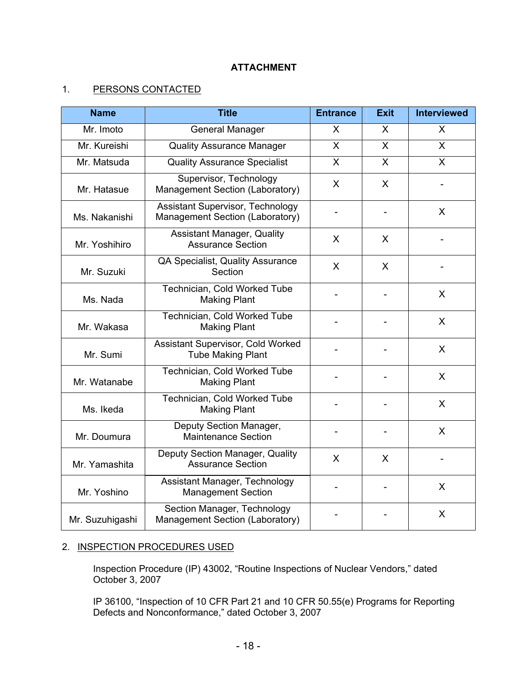### **ATTACHMENT**

## 1. PERSONS CONTACTED

| <b>Name</b>     | <b>Title</b>                                                               | <b>Entrance</b> | <b>Exit</b>  | <b>Interviewed</b>      |
|-----------------|----------------------------------------------------------------------------|-----------------|--------------|-------------------------|
| Mr. Imoto       | <b>General Manager</b>                                                     | X               | $\mathsf{X}$ | $\overline{\mathsf{X}}$ |
| Mr. Kureishi    | <b>Quality Assurance Manager</b>                                           | $\mathsf{x}$    | X            | X                       |
| Mr. Matsuda     | <b>Quality Assurance Specialist</b>                                        | X               | X            | X                       |
| Mr. Hatasue     | Supervisor, Technology<br>Management Section (Laboratory)                  | X               | X            |                         |
| Ms. Nakanishi   | <b>Assistant Supervisor, Technology</b><br>Management Section (Laboratory) |                 |              | X                       |
| Mr. Yoshihiro   | <b>Assistant Manager, Quality</b><br><b>Assurance Section</b>              | X               | X            |                         |
| Mr. Suzuki      | QA Specialist, Quality Assurance<br>Section                                | X               | X            |                         |
| Ms. Nada        | Technician, Cold Worked Tube<br><b>Making Plant</b>                        |                 |              | X                       |
| Mr. Wakasa      | Technician, Cold Worked Tube<br><b>Making Plant</b>                        |                 |              | X                       |
| Mr. Sumi        | Assistant Supervisor, Cold Worked<br><b>Tube Making Plant</b>              |                 |              | X                       |
| Mr. Watanabe    | Technician, Cold Worked Tube<br><b>Making Plant</b>                        |                 |              | X                       |
| Ms. Ikeda       | Technician, Cold Worked Tube<br><b>Making Plant</b>                        |                 |              | X                       |
| Mr. Doumura     | Deputy Section Manager,<br><b>Maintenance Section</b>                      |                 |              | $\mathsf{X}$            |
| Mr. Yamashita   | Deputy Section Manager, Quality<br><b>Assurance Section</b>                | X               | X            |                         |
| Mr. Yoshino     | Assistant Manager, Technology<br><b>Management Section</b>                 |                 |              | X                       |
| Mr. Suzuhigashi | Section Manager, Technology<br>Management Section (Laboratory)             |                 |              | X                       |

### 2. INSPECTION PROCEDURES USED

Inspection Procedure (IP) 43002, "Routine Inspections of Nuclear Vendors," dated October 3, 2007

IP 36100, "Inspection of 10 CFR Part 21 and 10 CFR 50.55(e) Programs for Reporting Defects and Nonconformance," dated October 3, 2007